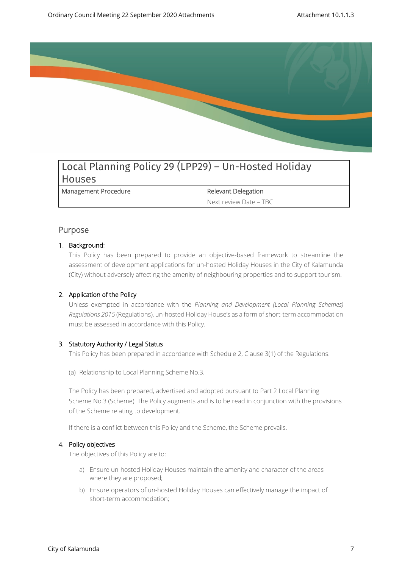

# Local Planning Policy 29 (LPP29) – Un-Hosted Holiday Houses

**Management Procedure Relevant Delegation** 

Next review Date – TBC

## **Purpose**

#### **1. Background:**

This Policy has been prepared to provide an objective-based framework to streamline the assessment of development applications for un-hosted Holiday Houses in the City of Kalamunda (City) without adversely affecting the amenity of neighbouring properties and to support tourism.

## **2. Application of the Policy**

Unless exempted in accordance with the *Planning and Development (Local Planning Schemes) Regulations 2015* (Regulations), un-hosted Holiday House's as a form of short-term accommodation must be assessed in accordance with this Policy.

## **3. Statutory Authority / Legal Status**

This Policy has been prepared in accordance with Schedule 2, Clause 3(1) of the Regulations.

(a) Relationship to Local Planning Scheme No.3.

The Policy has been prepared, advertised and adopted pursuant to Part 2 Local Planning Scheme No.3 (Scheme). The Policy augments and is to be read in conjunction with the provisions of the Scheme relating to development.

If there is a conflict between this Policy and the Scheme, the Scheme prevails.

#### **4. Policy objectives**

The objectives of this Policy are to:

- a) Ensure un-hosted Holiday Houses maintain the amenity and character of the areas where they are proposed;
- b) Ensure operators of un-hosted Holiday Houses can effectively manage the impact of short-term accommodation;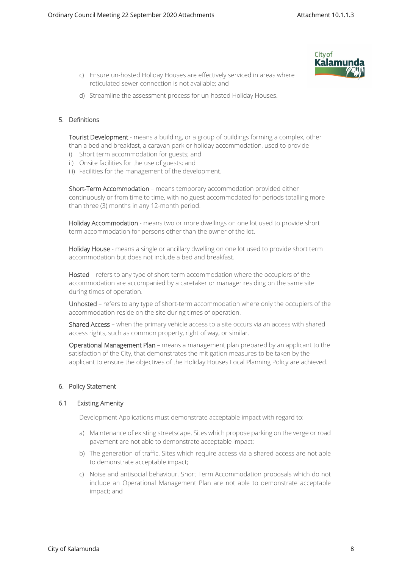

- c) Ensure un-hosted Holiday Houses are effectively serviced in areas where reticulated sewer connection is not available; and
- d) Streamline the assessment process for un-hosted Holiday Houses.

#### **5. Definitions**

**Tourist Development** - means a building, or a group of buildings forming a complex, other than a bed and breakfast, a caravan park or holiday accommodation, used to provide –

- i) Short term accommodation for guests; and
- ii) Onsite facilities for the use of guests; and
- iii) Facilities for the management of the development.

**Short-Term Accommodation** – means temporary accommodation provided either continuously or from time to time, with no guest accommodated for periods totalling more than three (3) months in any 12-month period.

**Holiday Accommodation** - means two or more dwellings on one lot used to provide short term accommodation for persons other than the owner of the lot.

**Holiday House** - means a single or ancillary dwelling on one lot used to provide short term accommodation but does not include a bed and breakfast.

**Hosted** – refers to any type of short-term accommodation where the occupiers of the accommodation are accompanied by a caretaker or manager residing on the same site during times of operation.

**Unhosted** – refers to any type of short-term accommodation where only the occupiers of the accommodation reside on the site during times of operation.

**Shared Access** – when the primary vehicle access to a site occurs via an access with shared access rights, such as common property, right of way, or similar.

**Operational Management Plan** – means a management plan prepared by an applicant to the satisfaction of the City, that demonstrates the mitigation measures to be taken by the applicant to ensure the objectives of the Holiday Houses Local Planning Policy are achieved.

#### **6. Policy Statement**

#### **6.1 Existing Amenity**

Development Applications must demonstrate acceptable impact with regard to:

- a) Maintenance of existing streetscape. Sites which propose parking on the verge or road pavement are not able to demonstrate acceptable impact;
- b) The generation of traffic. Sites which require access via a shared access are not able to demonstrate acceptable impact;
- c) Noise and antisocial behaviour. Short Term Accommodation proposals which do not include an Operational Management Plan are not able to demonstrate acceptable impact; and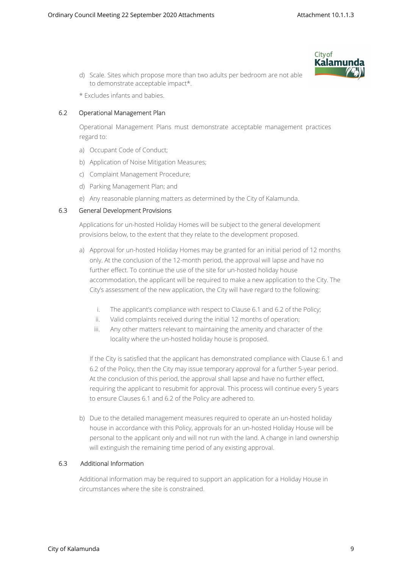- **City of** Kalamuı
- d) Scale. Sites which propose more than two adults per bedroom are not able to demonstrate acceptable impact\*.

\* Excludes infants and babies.

#### **6.2 Operational Management Plan**

Operational Management Plans must demonstrate acceptable management practices regard to:

- a) Occupant Code of Conduct;
- b) Application of Noise Mitigation Measures;
- c) Complaint Management Procedure;
- d) Parking Management Plan; and
- e) Any reasonable planning matters as determined by the City of Kalamunda.

#### **6.3 General Development Provisions**

Applications for un-hosted Holiday Homes will be subject to the general development provisions below, to the extent that they relate to the development proposed.

- a) Approval for un-hosted Holiday Homes may be granted for an initial period of 12 months only. At the conclusion of the 12-month period, the approval will lapse and have no further effect. To continue the use of the site for un-hosted holiday house accommodation, the applicant will be required to make a new application to the City. The City's assessment of the new application, the City will have regard to the following:
	- i. The applicant's compliance with respect to Clause 6.1 and 6.2 of the Policy;
	- ii. Valid complaints received during the initial 12 months of operation;
	- iii. Any other matters relevant to maintaining the amenity and character of the locality where the un-hosted holiday house is proposed.

If the City is satisfied that the applicant has demonstrated compliance with Clause 6.1 and 6.2 of the Policy, then the City may issue temporary approval for a further 5-year period. At the conclusion of this period, the approval shall lapse and have no further effect, requiring the applicant to resubmit for approval. This process will continue every 5 years to ensure Clauses 6.1 and 6.2 of the Policy are adhered to.

b) Due to the detailed management measures required to operate an un-hosted holiday house in accordance with this Policy, approvals for an un-hosted Holiday House will be personal to the applicant only and will not run with the land. A change in land ownership will extinguish the remaining time period of any existing approval.

## **6.3 Additional Information**

Additional information may be required to support an application for a Holiday House in circumstances where the site is constrained.